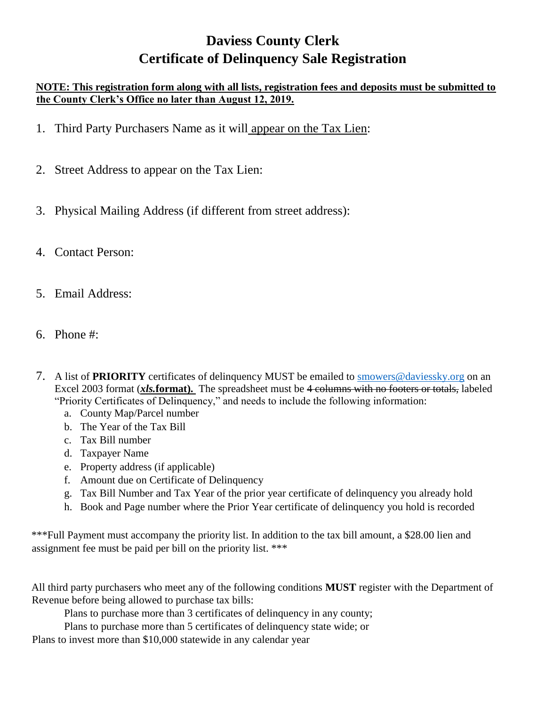# **Daviess County Clerk Certificate of Delinquency Sale Registration**

#### **NOTE: This registration form along with all lists, registration fees and deposits must be submitted to the County Clerk's Office no later than August 12, 2019.**

- 1. Third Party Purchasers Name as it will appear on the Tax Lien:
- 2. Street Address to appear on the Tax Lien:
- 3. Physical Mailing Address (if different from street address):
- 4. Contact Person:
- 5. Email Address:
- 6. Phone #:
- 7. A list of **PRIORITY** certificates of delinquency MUST be emailed to smowers@daviessky.org on an Excel 2003 format (*xls.***format).** The spreadsheet must be 4 columns with no footers or totals, labeled "Priority Certificates of Delinquency," and needs to include the following information:
	- a. County Map/Parcel number
	- b. The Year of the Tax Bill
	- c. Tax Bill number
	- d. Taxpayer Name
	- e. Property address (if applicable)
	- f. Amount due on Certificate of Delinquency
	- g. Tax Bill Number and Tax Year of the prior year certificate of delinquency you already hold
	- h. Book and Page number where the Prior Year certificate of delinquency you hold is recorded

\*\*\*Full Payment must accompany the priority list. In addition to the tax bill amount, a \$28.00 lien and assignment fee must be paid per bill on the priority list. \*\*\*

All third party purchasers who meet any of the following conditions **MUST** register with the Department of Revenue before being allowed to purchase tax bills:

Plans to purchase more than 3 certificates of delinquency in any county;

Plans to purchase more than 5 certificates of delinquency state wide; or

Plans to invest more than \$10,000 statewide in any calendar year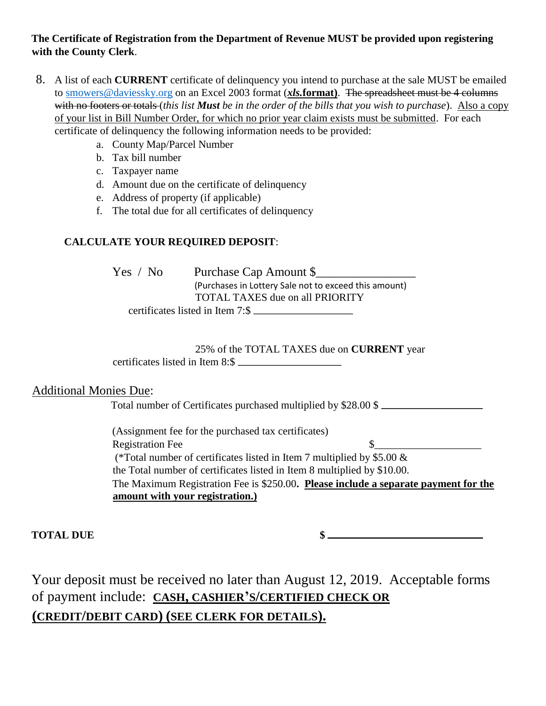#### **The Certificate of Registration from the Department of Revenue MUST be provided upon registering with the County Clerk**.

- 8. A list of each **CURRENT** certificate of delinquency you intend to purchase at the sale MUST be emailed to smowers@daviessky.org on an Excel 2003 format (*xls.***format)**. The spreadsheet must be 4 columns with no footers or totals (*this list Must be in the order of the bills that you wish to purchase*). Also a copy of your list in Bill Number Order, for which no prior year claim exists must be submitted. For each certificate of delinquency the following information needs to be provided:
	- a. County Map/Parcel Number
	- b. Tax bill number
	- c. Taxpayer name
	- d. Amount due on the certificate of delinquency
	- e. Address of property (if applicable)
	- f. The total due for all certificates of delinquency

#### **CALCULATE YOUR REQUIRED DEPOSIT**:

Yes / No Purchase Cap Amount \$ (Purchases in Lottery Sale not to exceed this amount) TOTAL TAXES due on all PRIORITY certificates listed in Item 7:\$

### 25% of the TOTAL TAXES due on **CURRENT** year

certificates listed in Item 8:\$

### Additional Monies Due:

Total number of Certificates purchased multiplied by \$28.00 \$

(Assignment fee for the purchased tax certificates) Registration Fee  $\qquad \qquad$   $\qquad \qquad$   $\qquad \qquad$ (\*Total number of certificates listed in Item 7 multiplied by  $$5.00 \&$ the Total number of certificates listed in Item 8 multiplied by \$10.00. The Maximum Registration Fee is \$250.00**. Please include a separate payment for the amount with your registration.)**

**TOTAL DUE \$** 

Your deposit must be received no later than August 12, 2019. Acceptable forms of payment include: **CASH, CASHIER'S/CERTIFIED CHECK OR (CREDIT/DEBIT CARD) (SEE CLERK FOR DETAILS).**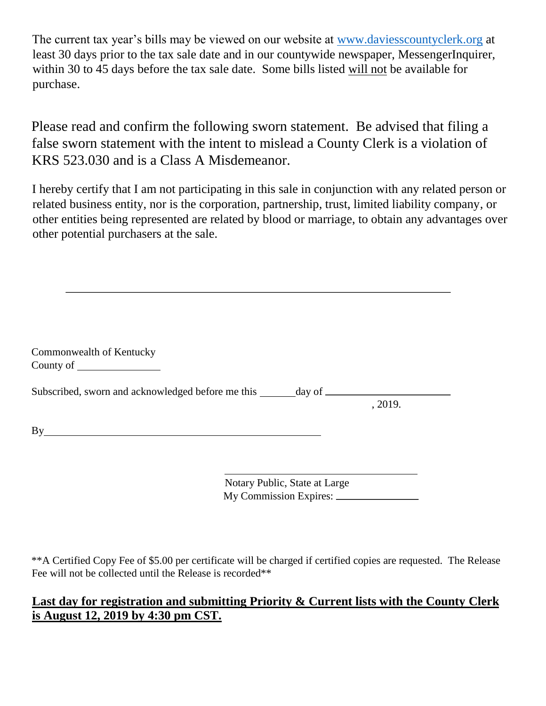The current tax year's bills may be viewed on our website a[t](http://www.daviesscountyclerk.org/) [www.daviesscountyclerk.org](http://www.daviesscountyclerk.org/) at least 30 days prior to the tax sale date and in our countywide newspaper, MessengerInquirer, within 30 to 45 days before the tax sale date. Some bills listed will not be available for purchase.

Please read and confirm the following sworn statement. Be advised that filing a false sworn statement with the intent to mislead a County Clerk is a violation of KRS 523.030 and is a Class A Misdemeanor.

I hereby certify that I am not participating in this sale in conjunction with any related person or related business entity, nor is the corporation, partnership, trust, limited liability company, or other entities being represented are related by blood or marriage, to obtain any advantages over other potential purchasers at the sale.

| Commonwealth of Kentucky                                                         |         |
|----------------------------------------------------------------------------------|---------|
|                                                                                  |         |
| Subscribed, sworn and acknowledged before me this _______ day of _______________ |         |
|                                                                                  | , 2019. |
| By                                                                               |         |
|                                                                                  |         |
|                                                                                  |         |

Notary Public, State at Large My Commission Expires:

\*\*A Certified Copy Fee of \$5.00 per certificate will be charged if certified copies are requested. The Release Fee will not be collected until the Release is recorded\*\*

## **Last day for registration and submitting Priority & Current lists with the County Clerk is August 12, 2019 by 4:30 pm CST.**